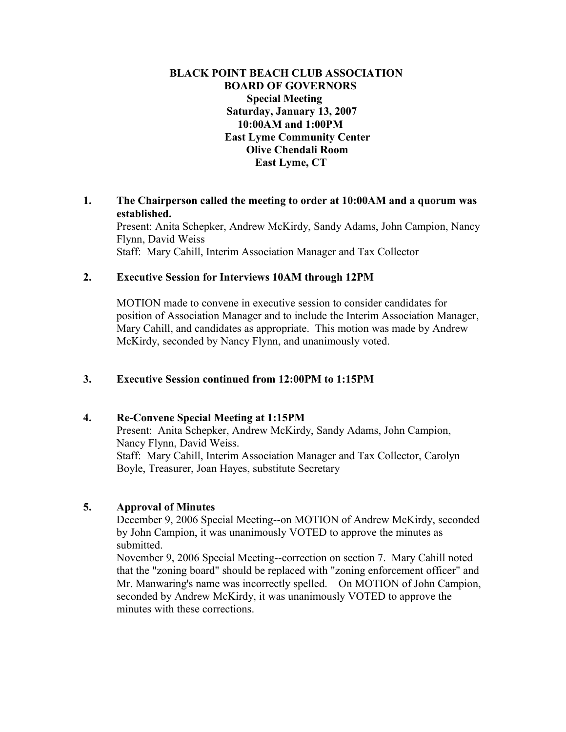## **BLACK POINT BEACH CLUB ASSOCIATION BOARD OF GOVERNORS Special Meeting Saturday, January 13, 2007 10:00AM and 1:00PM East Lyme Community Center Olive Chendali Room East Lyme, CT**

### **1. The Chairperson called the meeting to order at 10:00AM and a quorum was established.**

Present: Anita Schepker, Andrew McKirdy, Sandy Adams, John Campion, Nancy Flynn, David Weiss Staff: Mary Cahill, Interim Association Manager and Tax Collector

### **2. Executive Session for Interviews 10AM through 12PM**

MOTION made to convene in executive session to consider candidates for position of Association Manager and to include the Interim Association Manager, Mary Cahill, and candidates as appropriate. This motion was made by Andrew McKirdy, seconded by Nancy Flynn, and unanimously voted.

# **3. Executive Session continued from 12:00PM to 1:15PM**

#### **4. Re-Convene Special Meeting at 1:15PM**

Present: Anita Schepker, Andrew McKirdy, Sandy Adams, John Campion, Nancy Flynn, David Weiss. Staff: Mary Cahill, Interim Association Manager and Tax Collector, Carolyn Boyle, Treasurer, Joan Hayes, substitute Secretary

# **5. Approval of Minutes**

December 9, 2006 Special Meeting--on MOTION of Andrew McKirdy, seconded by John Campion, it was unanimously VOTED to approve the minutes as submitted.

November 9, 2006 Special Meeting--correction on section 7. Mary Cahill noted that the "zoning board" should be replaced with "zoning enforcement officer" and Mr. Manwaring's name was incorrectly spelled. On MOTION of John Campion, seconded by Andrew McKirdy, it was unanimously VOTED to approve the minutes with these corrections.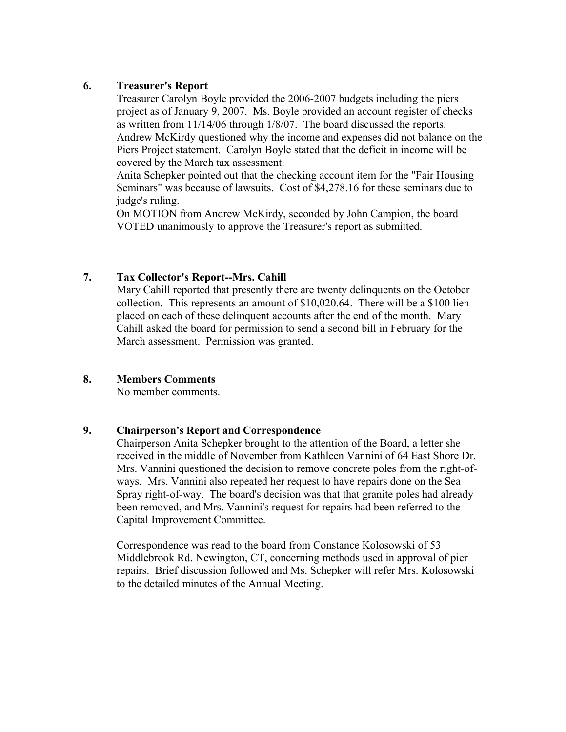## **6. Treasurer's Report**

Treasurer Carolyn Boyle provided the 2006-2007 budgets including the piers project as of January 9, 2007. Ms. Boyle provided an account register of checks as written from 11/14/06 through 1/8/07. The board discussed the reports. Andrew McKirdy questioned why the income and expenses did not balance on the Piers Project statement. Carolyn Boyle stated that the deficit in income will be covered by the March tax assessment.

Anita Schepker pointed out that the checking account item for the "Fair Housing Seminars" was because of lawsuits. Cost of \$4,278.16 for these seminars due to judge's ruling.

On MOTION from Andrew McKirdy, seconded by John Campion, the board VOTED unanimously to approve the Treasurer's report as submitted.

# **7. Tax Collector's Report--Mrs. Cahill**

Mary Cahill reported that presently there are twenty delinquents on the October collection. This represents an amount of \$10,020.64. There will be a \$100 lien placed on each of these delinquent accounts after the end of the month. Mary Cahill asked the board for permission to send a second bill in February for the March assessment. Permission was granted.

# **8. Members Comments**

No member comments.

#### **9. Chairperson's Report and Correspondence**

Chairperson Anita Schepker brought to the attention of the Board, a letter she received in the middle of November from Kathleen Vannini of 64 East Shore Dr. Mrs. Vannini questioned the decision to remove concrete poles from the right-ofways. Mrs. Vannini also repeated her request to have repairs done on the Sea Spray right-of-way. The board's decision was that that granite poles had already been removed, and Mrs. Vannini's request for repairs had been referred to the Capital Improvement Committee.

Correspondence was read to the board from Constance Kolosowski of 53 Middlebrook Rd. Newington, CT, concerning methods used in approval of pier repairs. Brief discussion followed and Ms. Schepker will refer Mrs. Kolosowski to the detailed minutes of the Annual Meeting.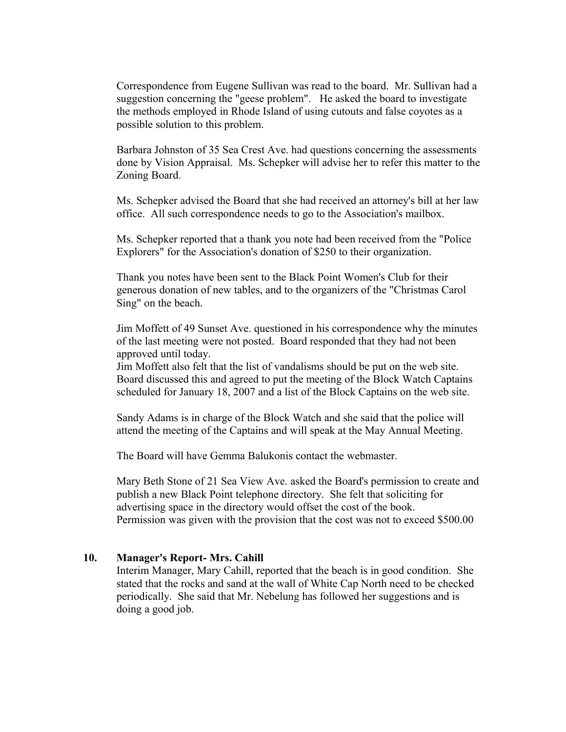Correspondence from Eugene Sullivan was read to the board. Mr. Sullivan had a suggestion concerning the "geese problem". He asked the board to investigate the methods employed in Rhode Island of using cutouts and false coyotes as a possible solution to this problem.

Barbara Johnston of 35 Sea Crest Ave. had questions concerning the assessments done by Vision Appraisal. Ms. Schepker will advise her to refer this matter to the Zoning Board.

Ms. Schepker advised the Board that she had received an attorney's bill at her law office. All such correspondence needs to go to the Association's mailbox.

Ms. Schepker reported that a thank you note had been received from the "Police Explorers" for the Association's donation of \$250 to their organization.

Thank you notes have been sent to the Black Point Women's Club for their generous donation of new tables, and to the organizers of the "Christmas Carol Sing" on the beach.

Jim Moffett of 49 Sunset Ave. questioned in his correspondence why the minutes of the last meeting were not posted. Board responded that they had not been approved until today.

Jim Moffett also felt that the list of vandalisms should be put on the web site. Board discussed this and agreed to put the meeting of the Block Watch Captains scheduled for January 18, 2007 and a list of the Block Captains on the web site.

Sandy Adams is in charge of the Block Watch and she said that the police will attend the meeting of the Captains and will speak at the May Annual Meeting.

The Board will have Gemma Balukonis contact the webmaster.

Mary Beth Stone of 21 Sea View Ave. asked the Board's permission to create and publish a new Black Point telephone directory. She felt that soliciting for advertising space in the directory would offset the cost of the book. Permission was given with the provision that the cost was not to exceed \$500.00

#### **10. Manager's Report- Mrs. Cahill**

Interim Manager, Mary Cahill, reported that the beach is in good condition. She stated that the rocks and sand at the wall of White Cap North need to be checked periodically. She said that Mr. Nebelung has followed her suggestions and is doing a good job.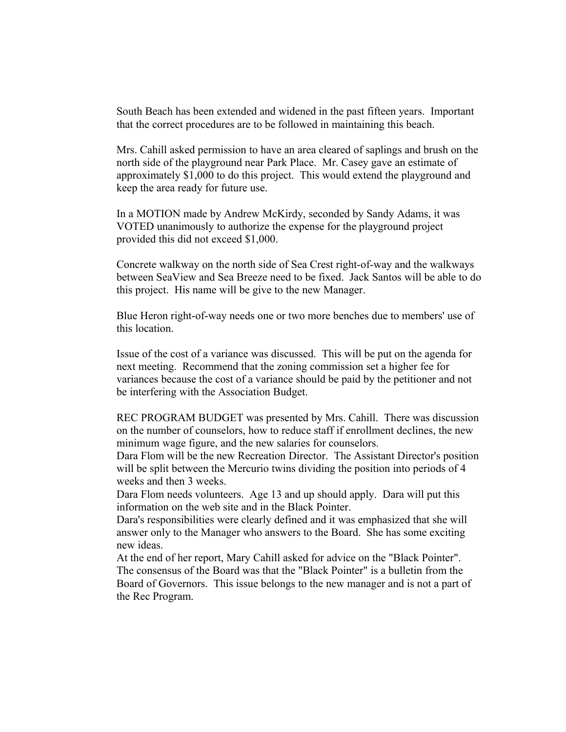South Beach has been extended and widened in the past fifteen years. Important that the correct procedures are to be followed in maintaining this beach.

Mrs. Cahill asked permission to have an area cleared of saplings and brush on the north side of the playground near Park Place. Mr. Casey gave an estimate of approximately \$1,000 to do this project. This would extend the playground and keep the area ready for future use.

In a MOTION made by Andrew McKirdy, seconded by Sandy Adams, it was VOTED unanimously to authorize the expense for the playground project provided this did not exceed \$1,000.

Concrete walkway on the north side of Sea Crest right-of-way and the walkways between SeaView and Sea Breeze need to be fixed. Jack Santos will be able to do this project. His name will be give to the new Manager.

Blue Heron right-of-way needs one or two more benches due to members' use of this location.

Issue of the cost of a variance was discussed. This will be put on the agenda for next meeting. Recommend that the zoning commission set a higher fee for variances because the cost of a variance should be paid by the petitioner and not be interfering with the Association Budget.

REC PROGRAM BUDGET was presented by Mrs. Cahill. There was discussion on the number of counselors, how to reduce staff if enrollment declines, the new minimum wage figure, and the new salaries for counselors.

Dara Flom will be the new Recreation Director. The Assistant Director's position will be split between the Mercurio twins dividing the position into periods of 4 weeks and then 3 weeks.

Dara Flom needs volunteers. Age 13 and up should apply. Dara will put this information on the web site and in the Black Pointer.

Dara's responsibilities were clearly defined and it was emphasized that she will answer only to the Manager who answers to the Board. She has some exciting new ideas.

At the end of her report, Mary Cahill asked for advice on the "Black Pointer". The consensus of the Board was that the "Black Pointer" is a bulletin from the Board of Governors. This issue belongs to the new manager and is not a part of the Rec Program.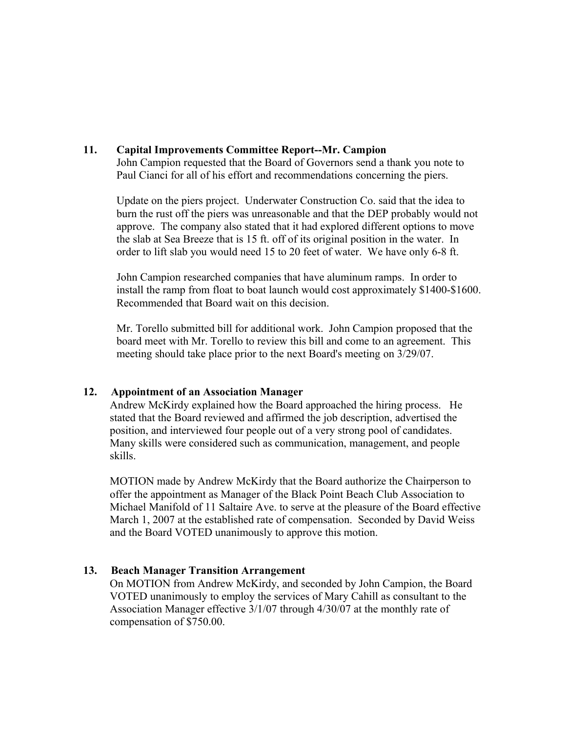## **11. Capital Improvements Committee Report--Mr. Campion**

John Campion requested that the Board of Governors send a thank you note to Paul Cianci for all of his effort and recommendations concerning the piers.

Update on the piers project. Underwater Construction Co. said that the idea to burn the rust off the piers was unreasonable and that the DEP probably would not approve. The company also stated that it had explored different options to move the slab at Sea Breeze that is 15 ft. off of its original position in the water. In order to lift slab you would need 15 to 20 feet of water. We have only 6-8 ft.

John Campion researched companies that have aluminum ramps. In order to install the ramp from float to boat launch would cost approximately \$1400-\$1600. Recommended that Board wait on this decision.

Mr. Torello submitted bill for additional work. John Campion proposed that the board meet with Mr. Torello to review this bill and come to an agreement. This meeting should take place prior to the next Board's meeting on 3/29/07.

#### **12. Appointment of an Association Manager**

Andrew McKirdy explained how the Board approached the hiring process. He stated that the Board reviewed and affirmed the job description, advertised the position, and interviewed four people out of a very strong pool of candidates. Many skills were considered such as communication, management, and people skills.

MOTION made by Andrew McKirdy that the Board authorize the Chairperson to offer the appointment as Manager of the Black Point Beach Club Association to Michael Manifold of 11 Saltaire Ave. to serve at the pleasure of the Board effective March 1, 2007 at the established rate of compensation. Seconded by David Weiss and the Board VOTED unanimously to approve this motion.

# **13. Beach Manager Transition Arrangement**

On MOTION from Andrew McKirdy, and seconded by John Campion, the Board VOTED unanimously to employ the services of Mary Cahill as consultant to the Association Manager effective 3/1/07 through 4/30/07 at the monthly rate of compensation of \$750.00.